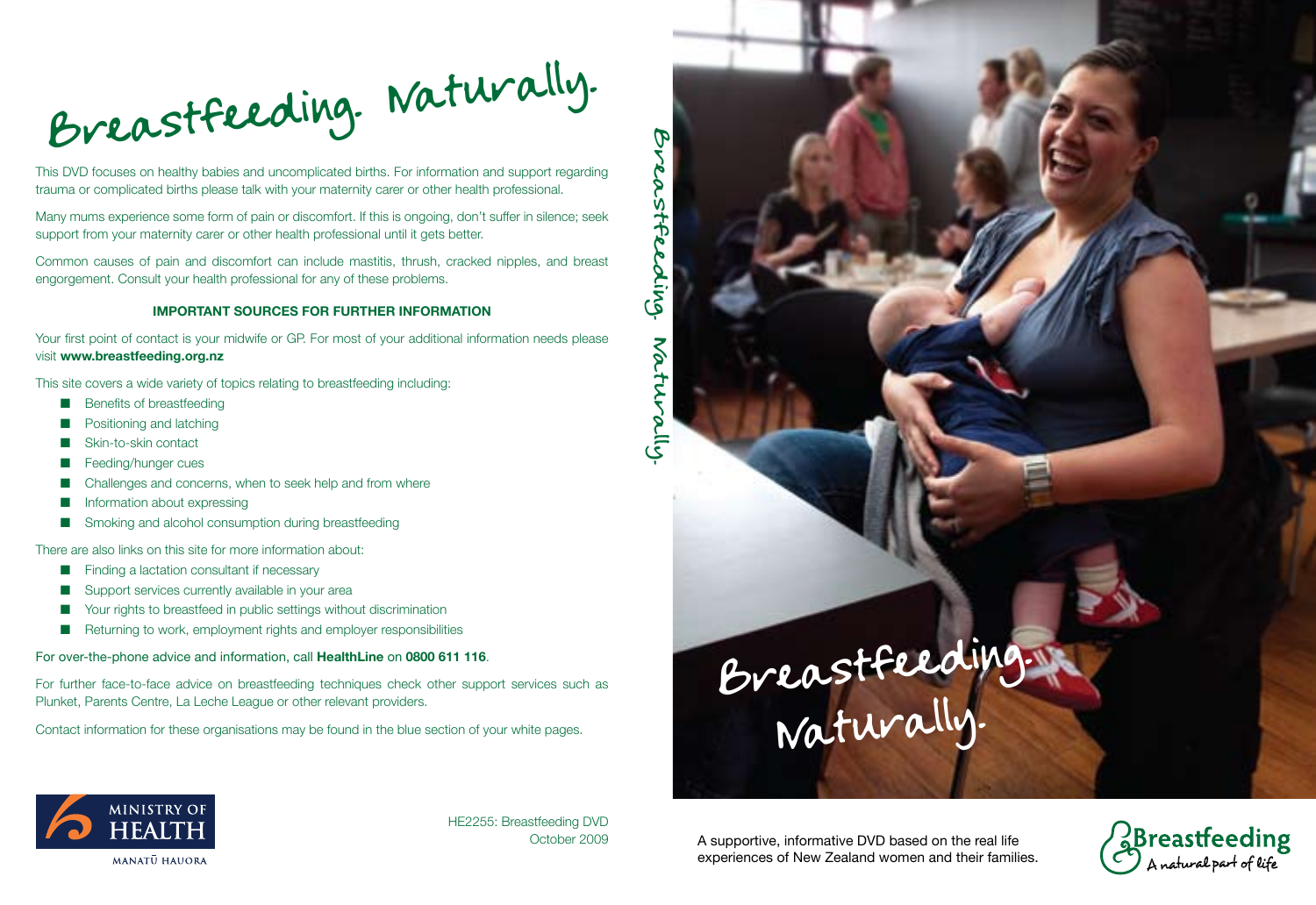Breastfeeding. Naturally.

This DVD focuses on healthy babies and uncomplicated births. For information and support regarding trauma or complicated births please talk with your maternity carer or other health professional.

Many mums experience some form of pain or discomfort. If this is ongoing, don't suffer in silence; seek support from your maternity carer or other health professional until it gets better.

Common causes of pain and discomfort can include mastitis, thrush, cracked nipples, and breast engorgement. Consult your health professional for any of these problems.

### **IMPORTANT SOURCES FOR FURTHER INFORMATION**

Your first point of contact is your midwife or GP. For most of your additional information needs please visit **www.breastfeeding.org.nz**

This site covers a wide variety of topics relating to breastfeeding including:

- **n** Benefits of breastfeeding
- **n** Positioning and latching
- Skin-to-skin contact
- **E** Feeding/hunger cues
- $\blacksquare$  Challenges and concerns, when to seek help and from where
- $\blacksquare$  Information about expressing
- $\blacksquare$  Smoking and alcohol consumption during breastfeeding

There are also links on this site for more information about:

- $\blacksquare$  Finding a lactation consultant if necessary
- $\blacksquare$  Support services currently available in your area
- $\blacksquare$  Your rights to breastfeed in public settings without discrimination
- $\blacksquare$  Returning to work, employment rights and employer responsibilities

For over-the-phone advice and information, call **HealthLine** on **0800 611 116**.

For further face-to-face advice on breastfeeding techniques check other support services such as Plunket, Parents Centre, La Leche League or other relevant providers.

Contact information for these organisations may be found in the blue section of your white pages.



MINISTRY OF<br>**HEALTH MANATU HAUORA** 

HE2255: Breastfeeding DVD October 2009

A supportive, informative DVD based on the real life experiences of New Zealand women and their families.

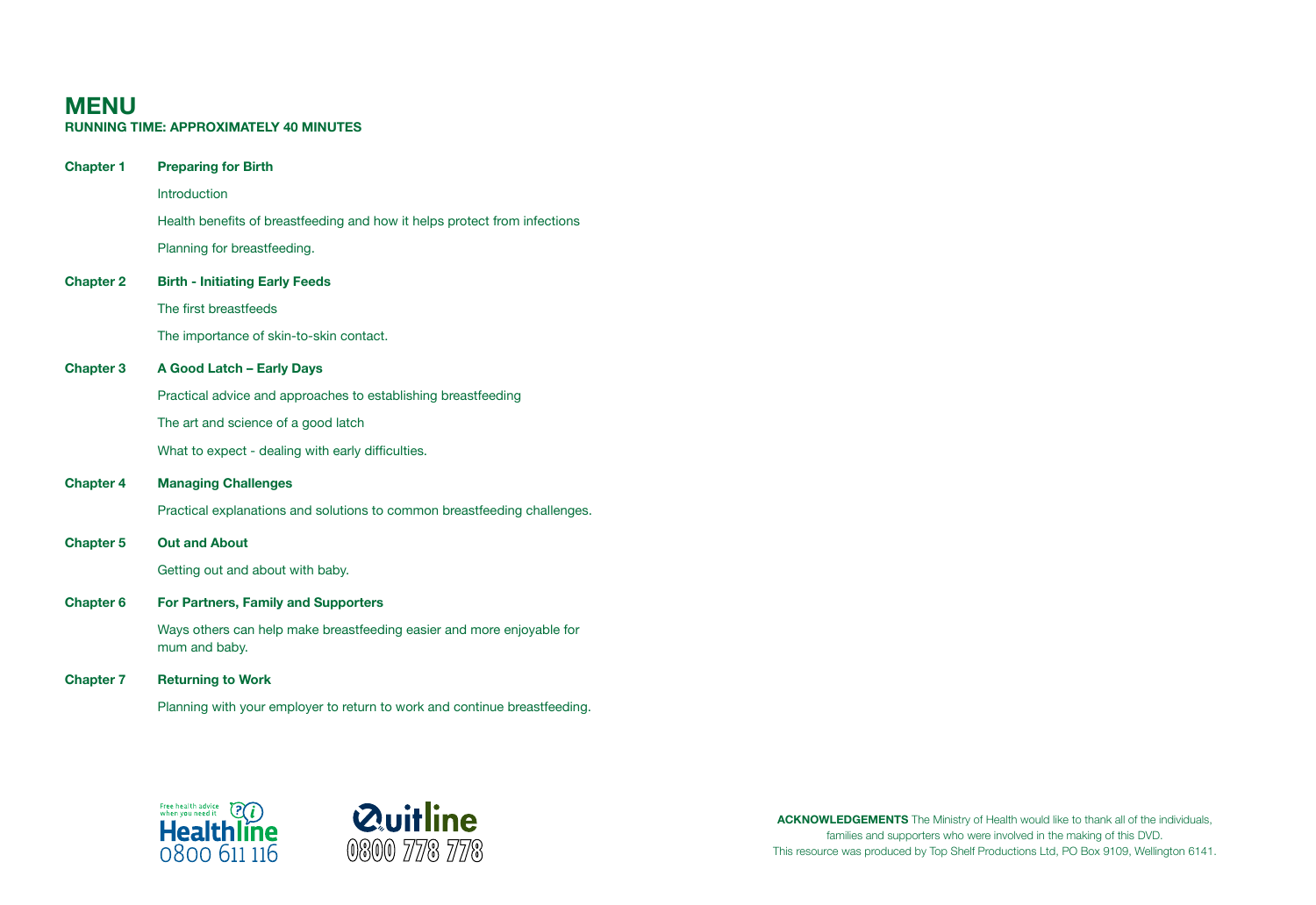### **Menu Running time: Approximately 40 MINUTES**

| <b>Chapter 1</b> | <b>Preparing for Birth</b>                                                             |
|------------------|----------------------------------------------------------------------------------------|
|                  | Introduction                                                                           |
|                  | Health benefits of breastfeeding and how it helps protect from infections              |
|                  | Planning for breastfeeding.                                                            |
| <b>Chapter 2</b> | <b>Birth - Initiating Early Feeds</b>                                                  |
|                  | The first breastfeeds                                                                  |
|                  | The importance of skin-to-skin contact.                                                |
| <b>Chapter 3</b> | A Good Latch - Early Days                                                              |
|                  | Practical advice and approaches to establishing breastfeeding                          |
|                  | The art and science of a good latch                                                    |
|                  | What to expect - dealing with early difficulties.                                      |
| <b>Chapter 4</b> | <b>Managing Challenges</b>                                                             |
|                  | Practical explanations and solutions to common breastfeeding challenges.               |
| <b>Chapter 5</b> | <b>Out and About</b>                                                                   |
|                  | Getting out and about with baby.                                                       |
| <b>Chapter 6</b> | For Partners, Family and Supporters                                                    |
|                  | Ways others can help make breastfeeding easier and more enjoyable for<br>mum and baby. |
| <b>Chapter 7</b> | <b>Returning to Work</b>                                                               |
|                  |                                                                                        |

Planning with your employer to return to work and continue breastfeeding.





**Acknowledgements** The Ministry of Health would like to thank all of the individuals, families and supporters who were involved in the making of this DVD. This resource was produced by Top Shelf Productions Ltd, PO Box 9109, Wellington 6141.